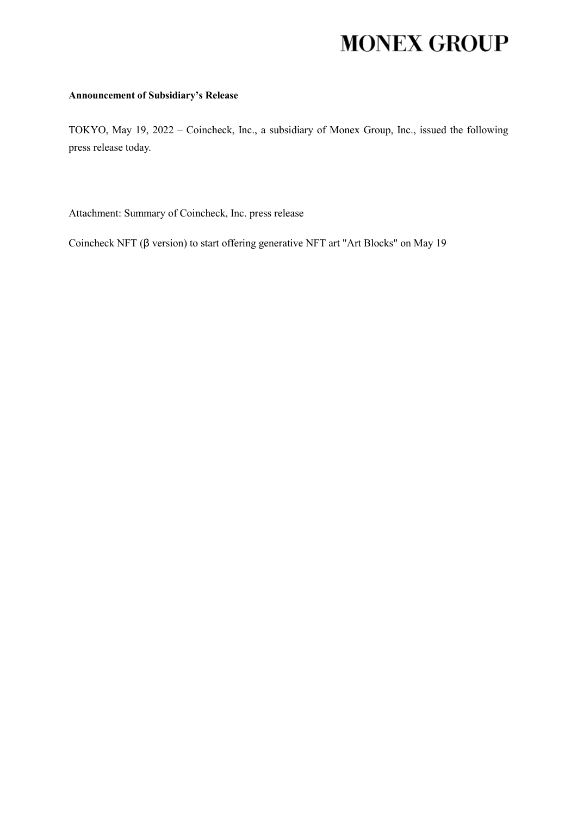# **MONEX GROUP**

### **Announcement of Subsidiary's Release**

TOKYO, May 19, 2022 – Coincheck, Inc., a subsidiary of Monex Group, Inc., issued the following press release today.

Attachment: Summary of Coincheck, Inc. press release

Coincheck NFT (β version) to start offering generative NFT art "Art Blocks" on May 19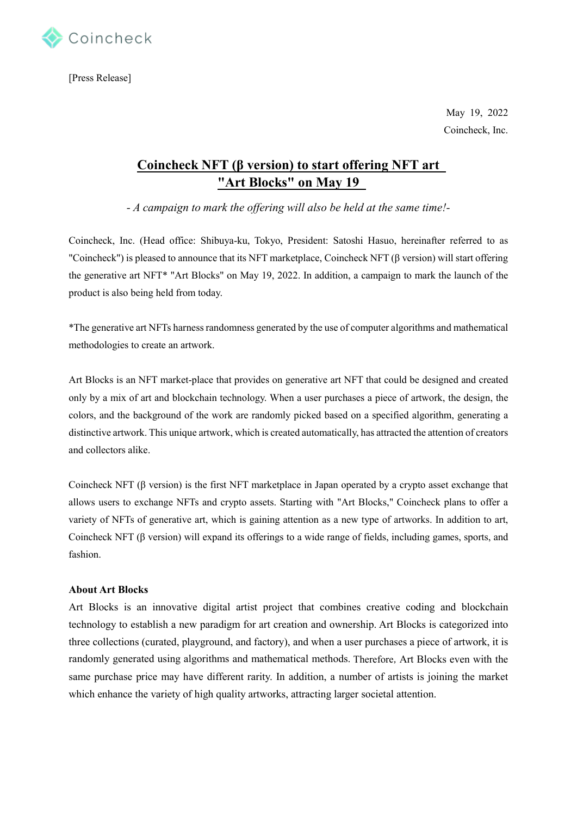

[Press Release]

May 19, 2022 Coincheck, Inc.

## **Coincheck NFT (β version) to start offering NFT art "Art Blocks" on May 19**

*- A campaign to mark the offering will also be held at the same time!-*

Coincheck, Inc. (Head office: Shibuya-ku, Tokyo, President: Satoshi Hasuo, hereinafter referred to as "Coincheck") is pleased to announce that its NFT marketplace, Coincheck NFT (β version) will start offering the generative art NFT\* "Art Blocks" on May 19, 2022. In addition, a campaign to mark the launch of the product is also being held from today.

\*The generative art NFTs harness randomness generated by the use of computer algorithms and mathematical methodologies to create an artwork.

Art Blocks is an NFT market-place that provides on generative art NFT that could be designed and created only by a mix of art and blockchain technology. When a user purchases a piece of artwork, the design, the colors, and the background of the work are randomly picked based on a specified algorithm, generating a distinctive artwork. This unique artwork, which is created automatically, has attracted the attention of creators and collectors alike.

Coincheck NFT (β version) is the first NFT marketplace in Japan operated by a crypto asset exchange that allows users to exchange NFTs and crypto assets. Starting with "Art Blocks," Coincheck plans to offer a variety of NFTs of generative art, which is gaining attention as a new type of artworks. In addition to art, Coincheck NFT ( $\beta$  version) will expand its offerings to a wide range of fields, including games, sports, and fashion.

#### **About Art Blocks**

Art Blocks is an innovative digital artist project that combines creative coding and blockchain technology to establish a new paradigm for art creation and ownership. Art Blocks is categorized into three collections (curated, playground, and factory), and when a user purchases a piece of artwork, it is randomly generated using algorithms and mathematical methods. Therefore, Art Blocks even with the same purchase price may have different rarity. In addition, a number of artists is joining the market which enhance the variety of high quality artworks, attracting larger societal attention.